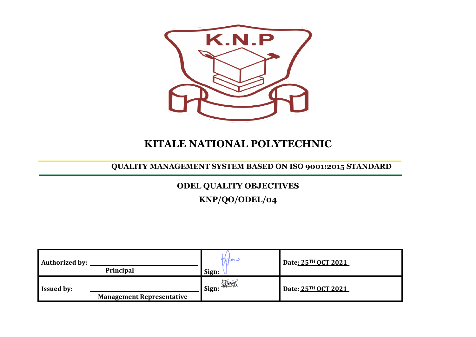

# **KITALE NATIONAL POLYTECHNIC**

### **QUALITY MANAGEMENT SYSTEM BASED ON ISO 9001:2015 STANDARD**

## **ODEL QUALITY OBJECTIVES**

**KNP/QO/ODEL/04**

| <b>Authorized by:</b><br><b>Principal</b>             | M <sup>2</sup><br>Sign: | Date: 25TH OCT 2021 |
|-------------------------------------------------------|-------------------------|---------------------|
| <b>Issued by:</b><br><b>Management Representative</b> | <b>I</b> Sign: 年地址      | Date: 25TH OCT 2021 |